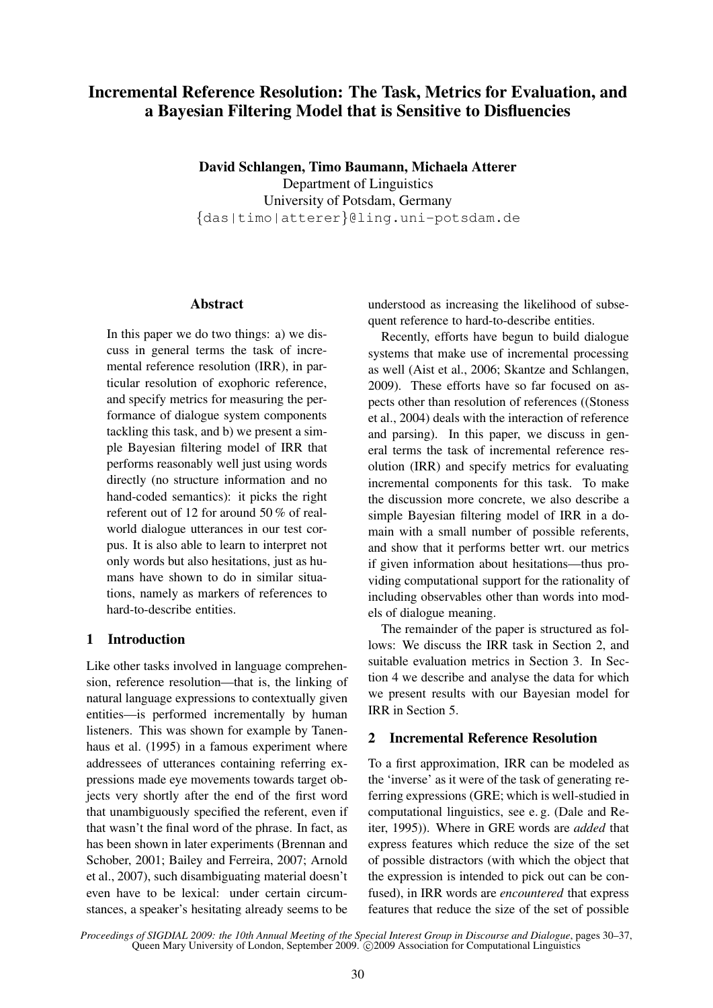# **Incremental Reference Resolution: The Task, Metrics for Evaluation, and a Bayesian Filtering Model that is Sensitive to Disfluencies**

**David Schlangen, Timo Baumann, Michaela Atterer** Department of Linguistics University of Potsdam, Germany {das|timo|atterer}@ling.uni-potsdam.de

# **Abstract**

In this paper we do two things: a) we discuss in general terms the task of incremental reference resolution (IRR), in particular resolution of exophoric reference, and specify metrics for measuring the performance of dialogue system components tackling this task, and b) we present a simple Bayesian filtering model of IRR that performs reasonably well just using words directly (no structure information and no hand-coded semantics): it picks the right referent out of 12 for around 50 % of realworld dialogue utterances in our test corpus. It is also able to learn to interpret not only words but also hesitations, just as humans have shown to do in similar situations, namely as markers of references to hard-to-describe entities.

# **1 Introduction**

Like other tasks involved in language comprehension, reference resolution—that is, the linking of natural language expressions to contextually given entities—is performed incrementally by human listeners. This was shown for example by Tanenhaus et al. (1995) in a famous experiment where addressees of utterances containing referring expressions made eye movements towards target objects very shortly after the end of the first word that unambiguously specified the referent, even if that wasn't the final word of the phrase. In fact, as has been shown in later experiments (Brennan and Schober, 2001; Bailey and Ferreira, 2007; Arnold et al., 2007), such disambiguating material doesn't even have to be lexical: under certain circumstances, a speaker's hesitating already seems to be

understood as increasing the likelihood of subsequent reference to hard-to-describe entities.

Recently, efforts have begun to build dialogue systems that make use of incremental processing as well (Aist et al., 2006; Skantze and Schlangen, 2009). These efforts have so far focused on aspects other than resolution of references ((Stoness et al., 2004) deals with the interaction of reference and parsing). In this paper, we discuss in general terms the task of incremental reference resolution (IRR) and specify metrics for evaluating incremental components for this task. To make the discussion more concrete, we also describe a simple Bayesian filtering model of IRR in a domain with a small number of possible referents, and show that it performs better wrt. our metrics if given information about hesitations—thus providing computational support for the rationality of including observables other than words into models of dialogue meaning.

The remainder of the paper is structured as follows: We discuss the IRR task in Section 2, and suitable evaluation metrics in Section 3. In Section 4 we describe and analyse the data for which we present results with our Bayesian model for IRR in Section 5.

# **2 Incremental Reference Resolution**

To a first approximation, IRR can be modeled as the 'inverse' as it were of the task of generating referring expressions (GRE; which is well-studied in computational linguistics, see e. g. (Dale and Reiter, 1995)). Where in GRE words are *added* that express features which reduce the size of the set of possible distractors (with which the object that the expression is intended to pick out can be confused), in IRR words are *encountered* that express features that reduce the size of the set of possible

*Proceedings of SIGDIAL 2009: the 10th Annual Meeting of the Special Interest Group in Discourse and Dialogue*, pages 30–37, Queen Mary University of London, September 2009. © 2009 Association for Computational Linguistics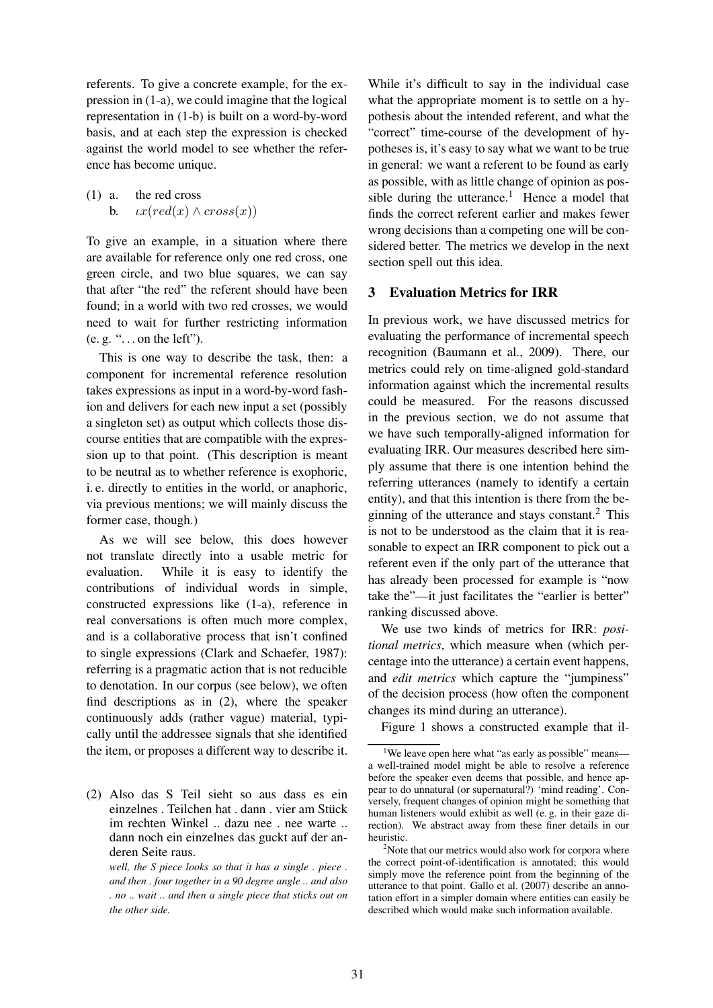referents. To give a concrete example, for the expression in (1-a), we could imagine that the logical representation in (1-b) is built on a word-by-word basis, and at each step the expression is checked against the world model to see whether the reference has become unique.

(1) a. the red cross b.  $ix(\text{red}(x) \wedge \text{cross}(x))$ 

To give an example, in a situation where there are available for reference only one red cross, one green circle, and two blue squares, we can say that after "the red" the referent should have been found; in a world with two red crosses, we would need to wait for further restricting information  $(e, g, \dots)$  on the left").

This is one way to describe the task, then: a component for incremental reference resolution takes expressions as input in a word-by-word fashion and delivers for each new input a set (possibly a singleton set) as output which collects those discourse entities that are compatible with the expression up to that point. (This description is meant to be neutral as to whether reference is exophoric, i. e. directly to entities in the world, or anaphoric, via previous mentions; we will mainly discuss the former case, though.)

As we will see below, this does however not translate directly into a usable metric for evaluation. While it is easy to identify the contributions of individual words in simple, constructed expressions like (1-a), reference in real conversations is often much more complex, and is a collaborative process that isn't confined to single expressions (Clark and Schaefer, 1987): referring is a pragmatic action that is not reducible to denotation. In our corpus (see below), we often find descriptions as in (2), where the speaker continuously adds (rather vague) material, typically until the addressee signals that she identified the item, or proposes a different way to describe it. While it's difficult to say in the individual case what the appropriate moment is to settle on a hypothesis about the intended referent, and what the "correct" time-course of the development of hypotheses is, it's easy to say what we want to be true in general: we want a referent to be found as early as possible, with as little change of opinion as possible during the utterance.<sup>1</sup> Hence a model that finds the correct referent earlier and makes fewer wrong decisions than a competing one will be considered better. The metrics we develop in the next section spell out this idea.

# **3 Evaluation Metrics for IRR**

In previous work, we have discussed metrics for evaluating the performance of incremental speech recognition (Baumann et al., 2009). There, our metrics could rely on time-aligned gold-standard information against which the incremental results could be measured. For the reasons discussed in the previous section, we do not assume that we have such temporally-aligned information for evaluating IRR. Our measures described here simply assume that there is one intention behind the referring utterances (namely to identify a certain entity), and that this intention is there from the beginning of the utterance and stays constant. $<sup>2</sup>$  This</sup> is not to be understood as the claim that it is reasonable to expect an IRR component to pick out a referent even if the only part of the utterance that has already been processed for example is "now take the"—it just facilitates the "earlier is better" ranking discussed above.

We use two kinds of metrics for IRR: *positional metrics*, which measure when (which percentage into the utterance) a certain event happens, and *edit metrics* which capture the "jumpiness" of the decision process (how often the component changes its mind during an utterance).

Figure 1 shows a constructed example that il-

<sup>(2)</sup> Also das S Teil sieht so aus dass es ein einzelnes . Teilchen hat . dann . vier am Stück im rechten Winkel .. dazu nee . nee warte .. dann noch ein einzelnes das guckt auf der anderen Seite raus.

*well, the S piece looks so that it has a single . piece . and then . four together in a 90 degree angle .. and also . no .. wait .. and then a single piece that sticks out on the other side.*

<sup>&</sup>lt;sup>1</sup>We leave open here what "as early as possible" means a well-trained model might be able to resolve a reference before the speaker even deems that possible, and hence appear to do unnatural (or supernatural?) 'mind reading'. Conversely, frequent changes of opinion might be something that human listeners would exhibit as well (e. g. in their gaze direction). We abstract away from these finer details in our heuristic.

<sup>&</sup>lt;sup>2</sup>Note that our metrics would also work for corpora where the correct point-of-identification is annotated; this would simply move the reference point from the beginning of the utterance to that point. Gallo et al. (2007) describe an annotation effort in a simpler domain where entities can easily be described which would make such information available.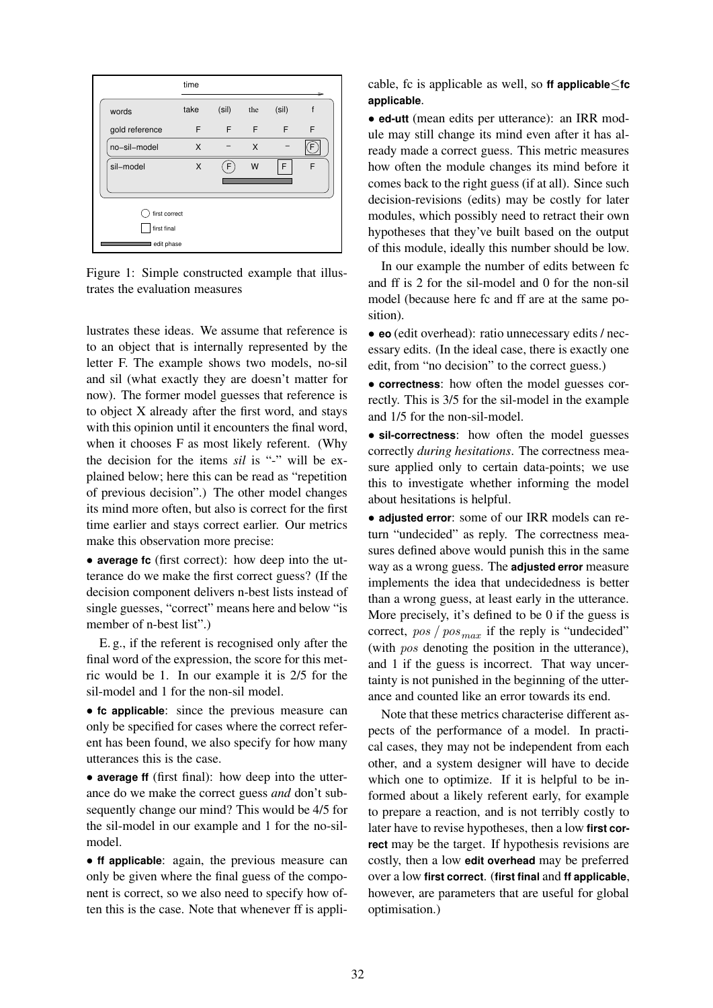

Figure 1: Simple constructed example that illustrates the evaluation measures

lustrates these ideas. We assume that reference is to an object that is internally represented by the letter F. The example shows two models, no-sil and sil (what exactly they are doesn't matter for now). The former model guesses that reference is to object X already after the first word, and stays with this opinion until it encounters the final word, when it chooses F as most likely referent. (Why the decision for the items *sil* is "-" will be explained below; here this can be read as "repetition of previous decision".) The other model changes its mind more often, but also is correct for the first time earlier and stays correct earlier. Our metrics make this observation more precise:

• **average fc** (first correct): how deep into the utterance do we make the first correct guess? (If the decision component delivers n-best lists instead of single guesses, "correct" means here and below "is member of n-best list".)

E. g., if the referent is recognised only after the final word of the expression, the score for this metric would be 1. In our example it is 2/5 for the sil-model and 1 for the non-sil model.

• **fc applicable**: since the previous measure can only be specified for cases where the correct referent has been found, we also specify for how many utterances this is the case.

• **average ff** (first final): how deep into the utterance do we make the correct guess *and* don't subsequently change our mind? This would be 4/5 for the sil-model in our example and 1 for the no-silmodel.

• **ff applicable**: again, the previous measure can only be given where the final guess of the component is correct, so we also need to specify how often this is the case. Note that whenever ff is applicable, fc is applicable as well, so **ff applicable**≤**fc applicable**.

• **ed-utt** (mean edits per utterance): an IRR module may still change its mind even after it has already made a correct guess. This metric measures how often the module changes its mind before it comes back to the right guess (if at all). Since such decision-revisions (edits) may be costly for later modules, which possibly need to retract their own hypotheses that they've built based on the output of this module, ideally this number should be low.

In our example the number of edits between fc and ff is 2 for the sil-model and 0 for the non-sil model (because here fc and ff are at the same position).

• **eo** (edit overhead): ratio unnecessary edits / necessary edits. (In the ideal case, there is exactly one edit, from "no decision" to the correct guess.)

• **correctness**: how often the model guesses correctly. This is 3/5 for the sil-model in the example and 1/5 for the non-sil-model.

• **sil-correctness**: how often the model guesses correctly *during hesitations*. The correctness measure applied only to certain data-points; we use this to investigate whether informing the model about hesitations is helpful.

• **adjusted error**: some of our IRR models can return "undecided" as reply. The correctness measures defined above would punish this in the same way as a wrong guess. The **adjusted error** measure implements the idea that undecidedness is better than a wrong guess, at least early in the utterance. More precisely, it's defined to be 0 if the guess is correct,  $pos / pos_{max}$  if the reply is "undecided" (with pos denoting the position in the utterance), and 1 if the guess is incorrect. That way uncertainty is not punished in the beginning of the utterance and counted like an error towards its end.

Note that these metrics characterise different aspects of the performance of a model. In practical cases, they may not be independent from each other, and a system designer will have to decide which one to optimize. If it is helpful to be informed about a likely referent early, for example to prepare a reaction, and is not terribly costly to later have to revise hypotheses, then a low **first correct** may be the target. If hypothesis revisions are costly, then a low **edit overhead** may be preferred over a low **first correct**. (**first final** and **ff applicable**, however, are parameters that are useful for global optimisation.)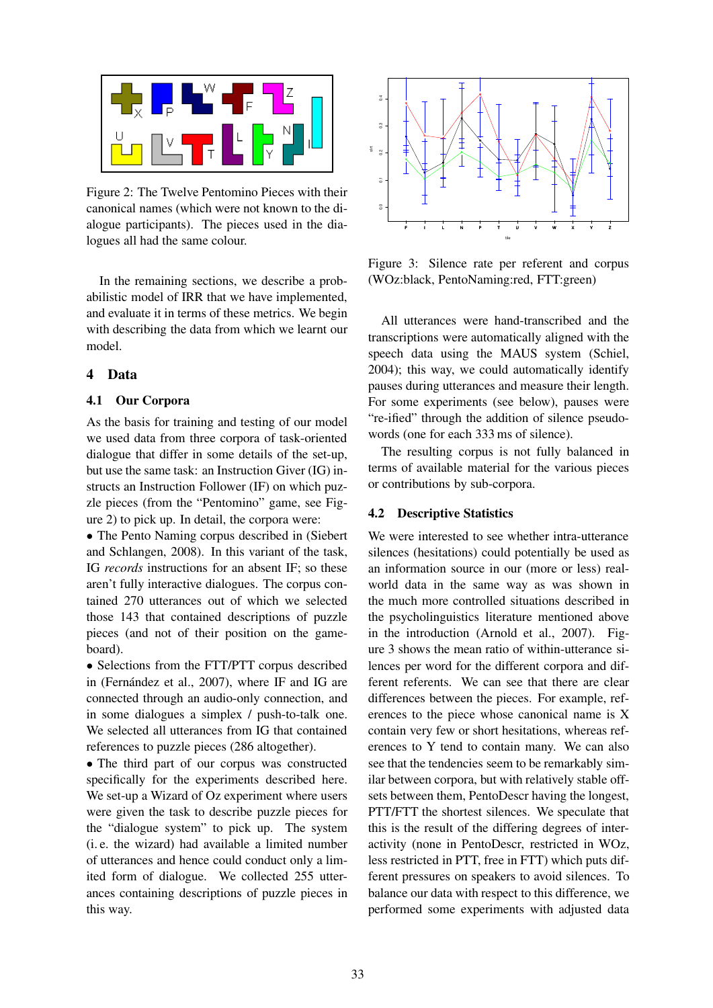

Figure 2: The Twelve Pentomino Pieces with their canonical names (which were not known to the dialogue participants). The pieces used in the dialogues all had the same colour.

In the remaining sections, we describe a probabilistic model of IRR that we have implemented, and evaluate it in terms of these metrics. We begin with describing the data from which we learnt our model.

# **4 Data**

# **4.1 Our Corpora**

As the basis for training and testing of our model we used data from three corpora of task-oriented dialogue that differ in some details of the set-up, but use the same task: an Instruction Giver (IG) instructs an Instruction Follower (IF) on which puzzle pieces (from the "Pentomino" game, see Figure 2) to pick up. In detail, the corpora were:

• The Pento Naming corpus described in (Siebert and Schlangen, 2008). In this variant of the task, IG *records* instructions for an absent IF; so these aren't fully interactive dialogues. The corpus contained 270 utterances out of which we selected those 143 that contained descriptions of puzzle pieces (and not of their position on the gameboard).

• Selections from the FTT/PTT corpus described in (Fernández et al., 2007), where IF and IG are connected through an audio-only connection, and in some dialogues a simplex / push-to-talk one. We selected all utterances from IG that contained references to puzzle pieces (286 altogether).

• The third part of our corpus was constructed specifically for the experiments described here. We set-up a Wizard of Oz experiment where users were given the task to describe puzzle pieces for the "dialogue system" to pick up. The system (i. e. the wizard) had available a limited number of utterances and hence could conduct only a limited form of dialogue. We collected 255 utterances containing descriptions of puzzle pieces in this way.



Figure 3: Silence rate per referent and corpus (WOz:black, PentoNaming:red, FTT:green)

All utterances were hand-transcribed and the transcriptions were automatically aligned with the speech data using the MAUS system (Schiel, 2004); this way, we could automatically identify pauses during utterances and measure their length. For some experiments (see below), pauses were "re-ified" through the addition of silence pseudowords (one for each 333 ms of silence).

The resulting corpus is not fully balanced in terms of available material for the various pieces or contributions by sub-corpora.

# **4.2 Descriptive Statistics**

We were interested to see whether intra-utterance silences (hesitations) could potentially be used as an information source in our (more or less) realworld data in the same way as was shown in the much more controlled situations described in the psycholinguistics literature mentioned above in the introduction (Arnold et al., 2007). Figure 3 shows the mean ratio of within-utterance silences per word for the different corpora and different referents. We can see that there are clear differences between the pieces. For example, references to the piece whose canonical name is X contain very few or short hesitations, whereas references to Y tend to contain many. We can also see that the tendencies seem to be remarkably similar between corpora, but with relatively stable offsets between them, PentoDescr having the longest, PTT/FTT the shortest silences. We speculate that this is the result of the differing degrees of interactivity (none in PentoDescr, restricted in WOz, less restricted in PTT, free in FTT) which puts different pressures on speakers to avoid silences. To balance our data with respect to this difference, we performed some experiments with adjusted data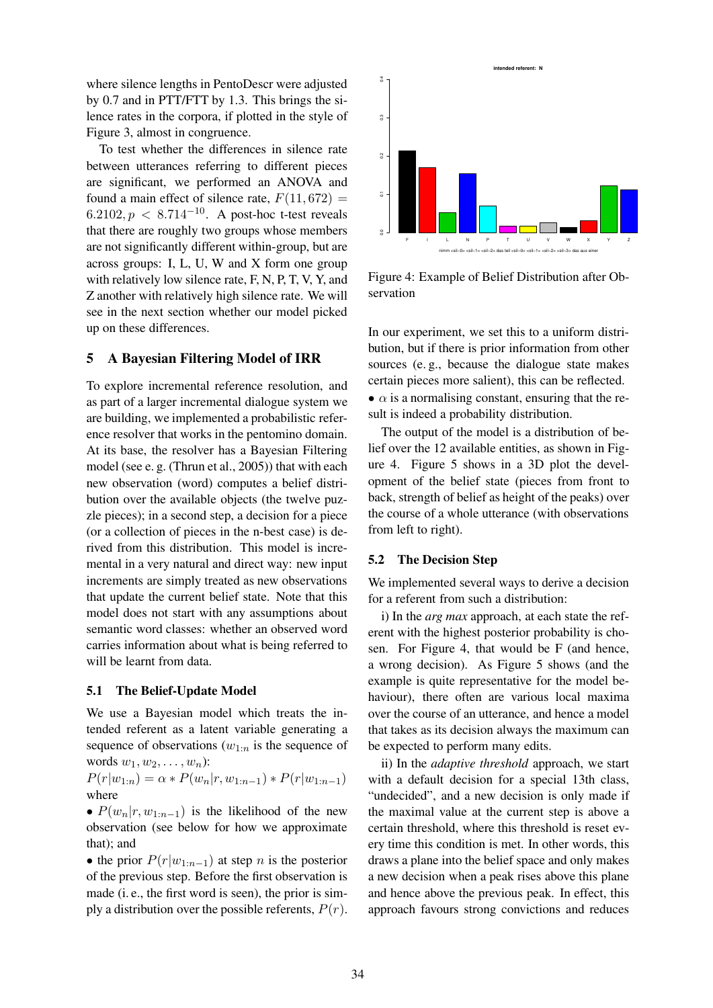where silence lengths in PentoDescr were adjusted by 0.7 and in PTT/FTT by 1.3. This brings the silence rates in the corpora, if plotted in the style of Figure 3, almost in congruence.

To test whether the differences in silence rate between utterances referring to different pieces are significant, we performed an ANOVA and found a main effect of silence rate,  $F(11, 672) =$ 6.2102,  $p < 8.714^{-10}$ . A post-hoc t-test reveals that there are roughly two groups whose members are not significantly different within-group, but are across groups: I, L, U, W and X form one group with relatively low silence rate, F, N, P, T, V, Y, and Z another with relatively high silence rate. We will see in the next section whether our model picked up on these differences.

# **5 A Bayesian Filtering Model of IRR**

To explore incremental reference resolution, and as part of a larger incremental dialogue system we are building, we implemented a probabilistic reference resolver that works in the pentomino domain. At its base, the resolver has a Bayesian Filtering model (see e. g. (Thrun et al., 2005)) that with each new observation (word) computes a belief distribution over the available objects (the twelve puzzle pieces); in a second step, a decision for a piece (or a collection of pieces in the n-best case) is derived from this distribution. This model is incremental in a very natural and direct way: new input increments are simply treated as new observations that update the current belief state. Note that this model does not start with any assumptions about semantic word classes: whether an observed word carries information about what is being referred to will be learnt from data.

### **5.1 The Belief-Update Model**

We use a Bayesian model which treats the intended referent as a latent variable generating a sequence of observations  $(w_{1:n})$  is the sequence of words  $w_1, w_2, \ldots, w_n$ :

 $P(r|w_{1:n}) = \alpha * P(w_n|r, w_{1:n-1}) * P(r|w_{1:n-1})$ where

•  $P(w_n|r, w_{1:n-1})$  is the likelihood of the new observation (see below for how we approximate that); and

• the prior  $P(r|w_{1:n-1})$  at step n is the posterior of the previous step. Before the first observation is made (i. e., the first word is seen), the prior is simply a distribution over the possible referents,  $P(r)$ .



Figure 4: Example of Belief Distribution after Observation

In our experiment, we set this to a uniform distribution, but if there is prior information from other sources (e. g., because the dialogue state makes certain pieces more salient), this can be reflected. •  $\alpha$  is a normalising constant, ensuring that the result is indeed a probability distribution.

The output of the model is a distribution of belief over the 12 available entities, as shown in Figure 4. Figure 5 shows in a 3D plot the development of the belief state (pieces from front to back, strength of belief as height of the peaks) over the course of a whole utterance (with observations from left to right).

#### **5.2 The Decision Step**

We implemented several ways to derive a decision for a referent from such a distribution:

i) In the *arg max* approach, at each state the referent with the highest posterior probability is chosen. For Figure 4, that would be F (and hence, a wrong decision). As Figure 5 shows (and the example is quite representative for the model behaviour), there often are various local maxima over the course of an utterance, and hence a model that takes as its decision always the maximum can be expected to perform many edits.

ii) In the *adaptive threshold* approach, we start with a default decision for a special 13th class, "undecided", and a new decision is only made if the maximal value at the current step is above a certain threshold, where this threshold is reset every time this condition is met. In other words, this draws a plane into the belief space and only makes a new decision when a peak rises above this plane and hence above the previous peak. In effect, this approach favours strong convictions and reduces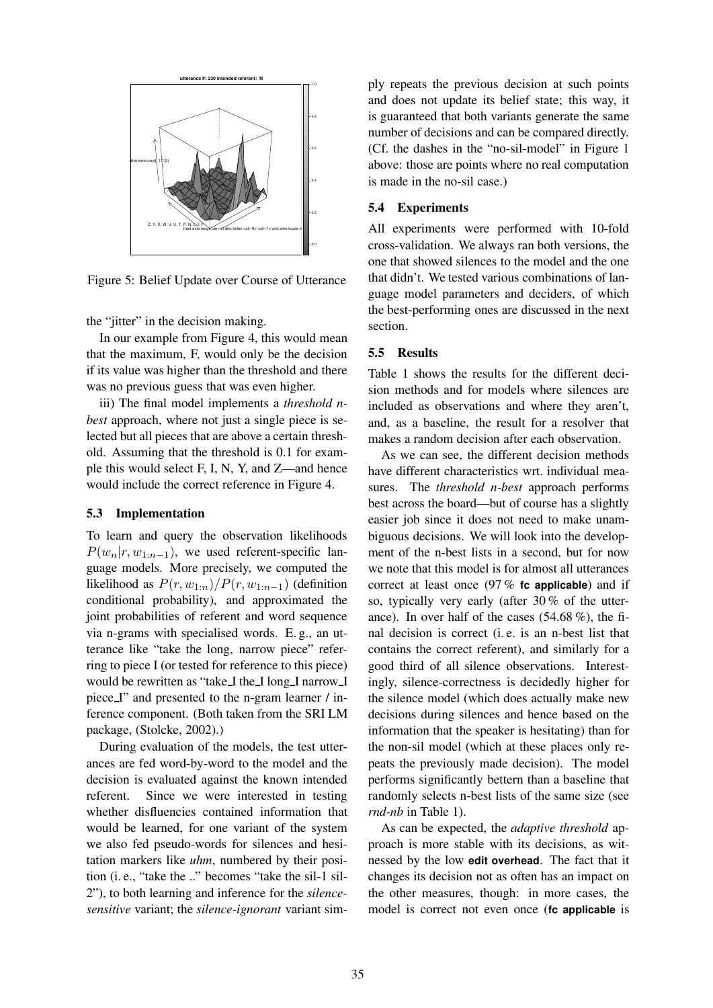

Figure 5: Belief Update over Course of Utterance

the "jitter" in the decision making.

In our example from Figure 4, this would mean that the maximum, F, would only be the decision if its value was higher than the threshold and there was no previous guess that was even higher.

iii) The final model implements a *threshold nbest* approach, where not just a single piece is selected but all pieces that are above a certain threshold. Assuming that the threshold is 0.1 for example this would select F, I, N, Y, and Z—and hence would include the correct reference in Figure 4.

#### **5.3 Implementation**

To learn and query the observation likelihoods  $P(w_n|r, w_{1:n-1})$ , we used referent-specific language models. More precisely, we computed the likelihood as  $P(r, w_{1:n})/P(r, w_{1:n-1})$  (definition conditional probability), and approximated the joint probabilities of referent and word sequence via n-grams with specialised words. E. g., an utterance like "take the long, narrow piece" referring to piece I (or tested for reference to this piece) would be rewritten as "take I the I long I narrow I piece I" and presented to the n-gram learner / inference component. (Both taken from the SRI LM package, (Stolcke, 2002).)

During evaluation of the models, the test utterances are fed word-by-word to the model and the decision is evaluated against the known intended referent. Since we were interested in testing whether disfluencies contained information that would be learned, for one variant of the system we also fed pseudo-words for silences and hesitation markers like *uhm*, numbered by their position (i. e., "take the .." becomes "take the sil-1 sil-2"), to both learning and inference for the *silencesensitive* variant; the *silence-ignorant* variant simply repeats the previous decision at such points and does not update its belief state; this way, it is guaranteed that both variants generate the same number of decisions and can be compared directly. (Cf. the dashes in the "no-sil-model" in Figure 1 above: those are points where no real computation is made in the no-sil case.)

### **5.4 Experiments**

All experiments were performed with 10-fold cross-validation. We always ran both versions, the one that showed silences to the model and the one that didn't. We tested various combinations of language model parameters and deciders, of which the best-performing ones are discussed in the next section.

### **5.5 Results**

Table 1 shows the results for the different decision methods and for models where silences are included as observations and where they aren't, and, as a baseline, the result for a resolver that makes a random decision after each observation.

As we can see, the different decision methods have different characteristics wrt. individual measures. The *threshold n-best* approach performs best across the board—but of course has a slightly easier job since it does not need to make unambiguous decisions. We will look into the development of the n-best lists in a second, but for now we note that this model is for almost all utterances correct at least once (97 % **fc applicable**) and if so, typically very early (after 30 % of the utterance). In over half of the cases  $(54.68\%)$ , the final decision is correct (i. e. is an n-best list that contains the correct referent), and similarly for a good third of all silence observations. Interestingly, silence-correctness is decidedly higher for the silence model (which does actually make new decisions during silences and hence based on the information that the speaker is hesitating) than for the non-sil model (which at these places only repeats the previously made decision). The model performs significantly bettern than a baseline that randomly selects n-best lists of the same size (see *rnd-nb* in Table 1).

As can be expected, the *adaptive threshold* approach is more stable with its decisions, as witnessed by the low **edit overhead**. The fact that it changes its decision not as often has an impact on the other measures, though: in more cases, the model is correct not even once (**fc applicable** is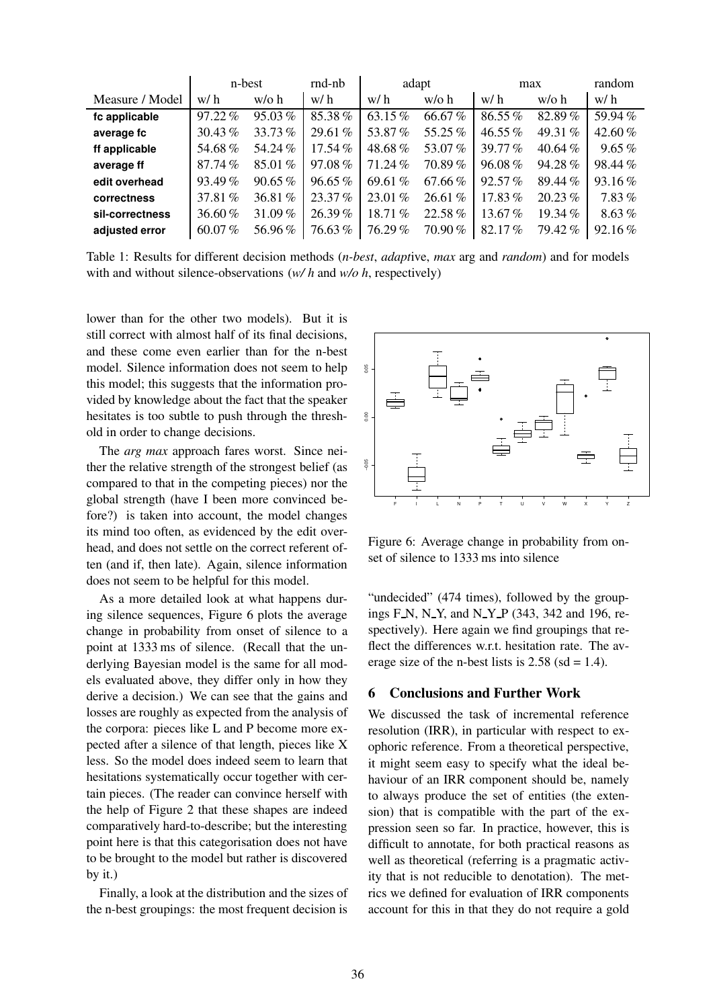|                 | n-best    |           | rnd-nb    | adapt     |         | max       |           | random    |
|-----------------|-----------|-----------|-----------|-----------|---------|-----------|-----------|-----------|
| Measure / Model | w/h       | $w/o$ h   | w/h       | w/h       | $w/o$ h | w/h       | $w/o$ h   | w/h       |
| fc applicable   | $97.22\%$ | 95.03%    | 85.38%    | 63.15%    | 66.67%  | 86.55%    | 82.89%    | 59.94%    |
| average fc      | 30.43%    | 33.73%    | 29.61%    | 53.87%    | 55.25%  | 46.55%    | 49.31 %   | 42.60%    |
| ff applicable   | 54.68%    | 54.24%    | $17.54\%$ | 48.68%    | 53.07%  | 39.77%    | 40.64%    | 9.65%     |
| average ff      | 87.74%    | 85.01%    | 97.08%    | 71.24%    | 70.89%  | 96.08%    | 94.28%    | 98.44%    |
| edit overhead   | 93.49%    | 90.65%    | $96.65\%$ | 69.61 $%$ | 67.66%  | 92.57%    | 89.44%    | 93.16%    |
| correctness     | 37.81 %   | 36.81%    | $23.37\%$ | $23.01\%$ | 26.61%  | 17.83%    | $20.23\%$ | 7.83%     |
| sil-correctness | 36.60%    | 31.09 $%$ | 26.39%    | 18.71%    | 22.58%  | 13.67%    | 19.34 $%$ | 8.63%     |
| adjusted error  | $60.07\%$ | 56.96%    | 76.63 %   | 76.29%    | 70.90%  | $82.17\%$ | 79.42%    | $92.16\%$ |

Table 1: Results for different decision methods (*n-best*, *adapt*ive, *max* arg and *random*) and for models with and without silence-observations (*w/ h* and *w/o h*, respectively)

lower than for the other two models). But it is still correct with almost half of its final decisions, and these come even earlier than for the n-best model. Silence information does not seem to help this model; this suggests that the information provided by knowledge about the fact that the speaker hesitates is too subtle to push through the threshold in order to change decisions.

The *arg max* approach fares worst. Since neither the relative strength of the strongest belief (as compared to that in the competing pieces) nor the global strength (have I been more convinced before?) is taken into account, the model changes its mind too often, as evidenced by the edit overhead, and does not settle on the correct referent often (and if, then late). Again, silence information does not seem to be helpful for this model.

As a more detailed look at what happens during silence sequences, Figure 6 plots the average change in probability from onset of silence to a point at 1333 ms of silence. (Recall that the underlying Bayesian model is the same for all models evaluated above, they differ only in how they derive a decision.) We can see that the gains and losses are roughly as expected from the analysis of the corpora: pieces like L and P become more expected after a silence of that length, pieces like X less. So the model does indeed seem to learn that hesitations systematically occur together with certain pieces. (The reader can convince herself with the help of Figure 2 that these shapes are indeed comparatively hard-to-describe; but the interesting point here is that this categorisation does not have to be brought to the model but rather is discovered by it.)

Finally, a look at the distribution and the sizes of the n-best groupings: the most frequent decision is



Figure 6: Average change in probability from onset of silence to 1333 ms into silence

"undecided" (474 times), followed by the groupings F N, N Y, and N Y P (343, 342 and 196, respectively). Here again we find groupings that reflect the differences w.r.t. hesitation rate. The average size of the n-best lists is  $2.58$  (sd = 1.4).

# **6 Conclusions and Further Work**

We discussed the task of incremental reference resolution (IRR), in particular with respect to exophoric reference. From a theoretical perspective, it might seem easy to specify what the ideal behaviour of an IRR component should be, namely to always produce the set of entities (the extension) that is compatible with the part of the expression seen so far. In practice, however, this is difficult to annotate, for both practical reasons as well as theoretical (referring is a pragmatic activity that is not reducible to denotation). The metrics we defined for evaluation of IRR components account for this in that they do not require a gold